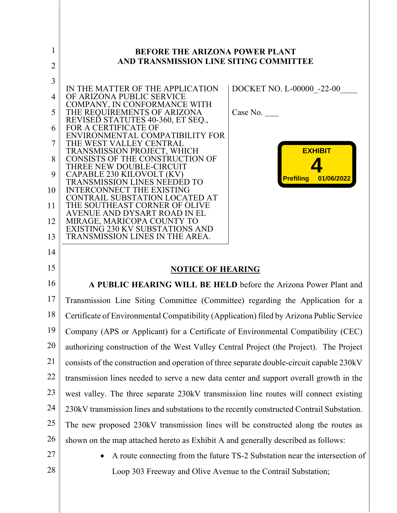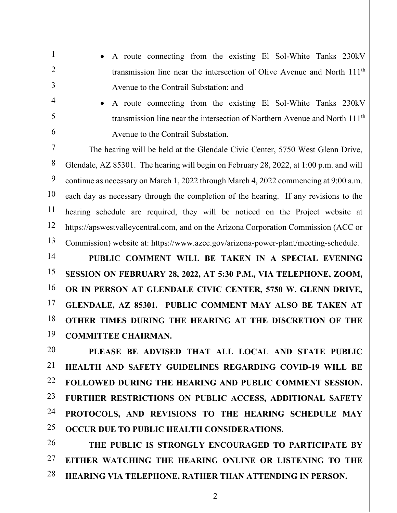- A route connecting from the existing El Sol-White Tanks 230kV transmission line near the intersection of Olive Avenue and North 111th Avenue to the Contrail Substation; and
- A route connecting from the existing El Sol-White Tanks 230kV transmission line near the intersection of Northern Avenue and North 111th Avenue to the Contrail Substation.

7 8 9 10 11 12 13 The hearing will be held at the Glendale Civic Center, 5750 West Glenn Drive, Glendale, AZ 85301. The hearing will begin on February 28, 2022, at 1:00 p.m. and will continue as necessary on March 1, 2022 through March 4, 2022 commencing at 9:00 a.m. each day as necessary through the completion of the hearing. If any revisions to the hearing schedule are required, they will be noticed on the Project website at https://apswestvalleycentral.com, and on the Arizona Corporation Commission (ACC or Commission) website at: https://www.azcc.gov/arizona-power-plant/meeting-schedule.

1

2

3

4

5

6

14 15 16 17 18 19 **PUBLIC COMMENT WILL BE TAKEN IN A SPECIAL EVENING SESSION ON FEBRUARY 28, 2022, AT 5:30 P.M., VIA TELEPHONE, ZOOM, OR IN PERSON AT GLENDALE CIVIC CENTER, 5750 W. GLENN DRIVE, GLENDALE, AZ 85301. PUBLIC COMMENT MAY ALSO BE TAKEN AT OTHER TIMES DURING THE HEARING AT THE DISCRETION OF THE COMMITTEE CHAIRMAN.**

20 21 22 23 24 25 **PLEASE BE ADVISED THAT ALL LOCAL AND STATE PUBLIC HEALTH AND SAFETY GUIDELINES REGARDING COVID-19 WILL BE FOLLOWED DURING THE HEARING AND PUBLIC COMMENT SESSION. FURTHER RESTRICTIONS ON PUBLIC ACCESS, ADDITIONAL SAFETY PROTOCOLS, AND REVISIONS TO THE HEARING SCHEDULE MAY OCCUR DUE TO PUBLIC HEALTH CONSIDERATIONS.**

26 27 28 **THE PUBLIC IS STRONGLY ENCOURAGED TO PARTICIPATE BY EITHER WATCHING THE HEARING ONLINE OR LISTENING TO THE HEARING VIA TELEPHONE, RATHER THAN ATTENDING IN PERSON.**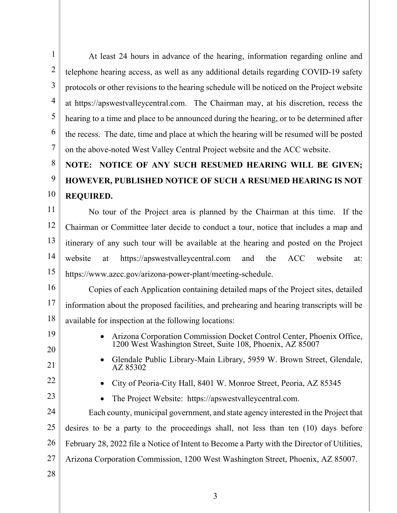2 3 4 5 6 At least 24 hours in advance of the hearing, information regarding online and telephone hearing access, as well as any additional details regarding COVID-19 safety protocols or other revisions to the hearing schedule will be noticed on the Project website at https://apswestvalleycentral.com. The Chairman may, at his discretion, recess the hearing to a time and place to be announced during the hearing, or to be determined after the recess. The date, time and place at which the hearing will be resumed will be posted

7 on the above-noted West Valley Central Project website and the ACC website.

## 8 9 10 **NOTE: NOTICE OF ANY SUCH RESUMED HEARING WILL BE GIVEN; HOWEVER, PUBLISHED NOTICE OF SUCH A RESUMED HEARING IS NOT REQUIRED.**

11 12 13 14 15 No tour of the Project area is planned by the Chairman at this time. If the Chairman or Committee later decide to conduct a tour, notice that includes a map and itinerary of any such tour will be available at the hearing and posted on the Project website at https://apswestvalleycentral.com and the ACC website at: https://www.azcc.gov/arizona-power-plant/meeting-schedule.

16 17 18 Copies of each Application containing detailed maps of the Project sites, detailed information about the proposed facilities, and prehearing and hearing transcripts will be available for inspection at the following locations:

19 20

1

- 21
- Arizona Corporation Commission Docket Control Center, Phoenix Office, 1200 West Washington Street, Suite 108, Phoenix, AZ 85007 • Glendale Public Library-Main Library, 5959 W. Brown Street, Glendale,
- 22

23

- City of Peoria-City Hall, 8401 W. Monroe Street, Peoria, AZ 85345
	- The Project Website: https://apswestvalleycentral.com.

AZ 85302

24 25 26 27 Each county, municipal government, and state agency interested in the Project that desires to be a party to the proceedings shall, not less than ten (10) days before February 28, 2022 file a Notice of Intent to Become a Party with the Director of Utilities, Arizona Corporation Commission, 1200 West Washington Street, Phoenix, AZ 85007.

28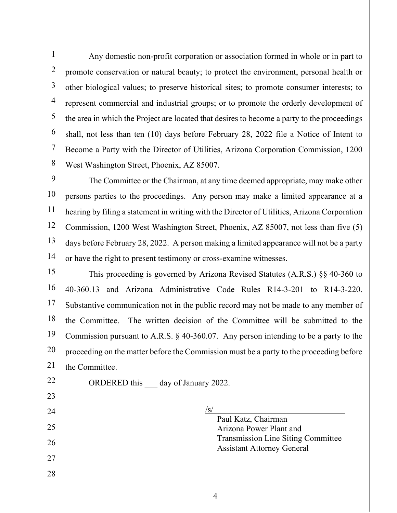1 2 3 4 5 6 7 8 Any domestic non-profit corporation or association formed in whole or in part to promote conservation or natural beauty; to protect the environment, personal health or other biological values; to preserve historical sites; to promote consumer interests; to represent commercial and industrial groups; or to promote the orderly development of the area in which the Project are located that desires to become a party to the proceedings shall, not less than ten (10) days before February 28, 2022 file a Notice of Intent to Become a Party with the Director of Utilities, Arizona Corporation Commission, 1200 West Washington Street, Phoenix, AZ 85007.

9 10 11 12 13 14 The Committee or the Chairman, at any time deemed appropriate, may make other persons parties to the proceedings. Any person may make a limited appearance at a hearing by filing a statement in writing with the Director of Utilities, Arizona Corporation Commission, 1200 West Washington Street, Phoenix, AZ 85007, not less than five (5) days before February 28, 2022. A person making a limited appearance will not be a party or have the right to present testimony or cross-examine witnesses.

15 16 17 18 19 20 21 This proceeding is governed by Arizona Revised Statutes (A.R.S.) §§ 40-360 to 40-360.13 and Arizona Administrative Code Rules R14-3-201 to R14-3-220. Substantive communication not in the public record may not be made to any member of the Committee. The written decision of the Committee will be submitted to the Commission pursuant to A.R.S. § 40-360.07. Any person intending to be a party to the proceeding on the matter before the Commission must be a party to the proceeding before the Committee.

22 23

24

25

26

27

28

ORDERED this day of January 2022.

 $\sqrt{s/2}$ 

Paul Katz, Chairman Arizona Power Plant and Transmission Line Siting Committee Assistant Attorney General

4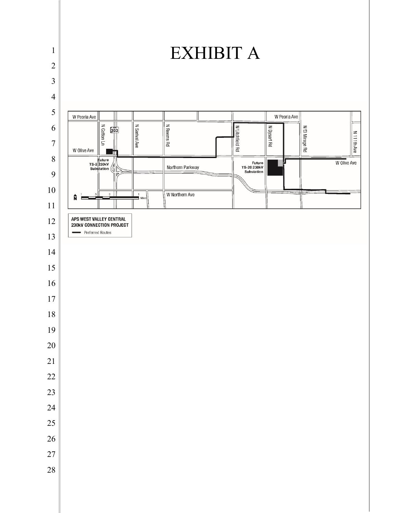